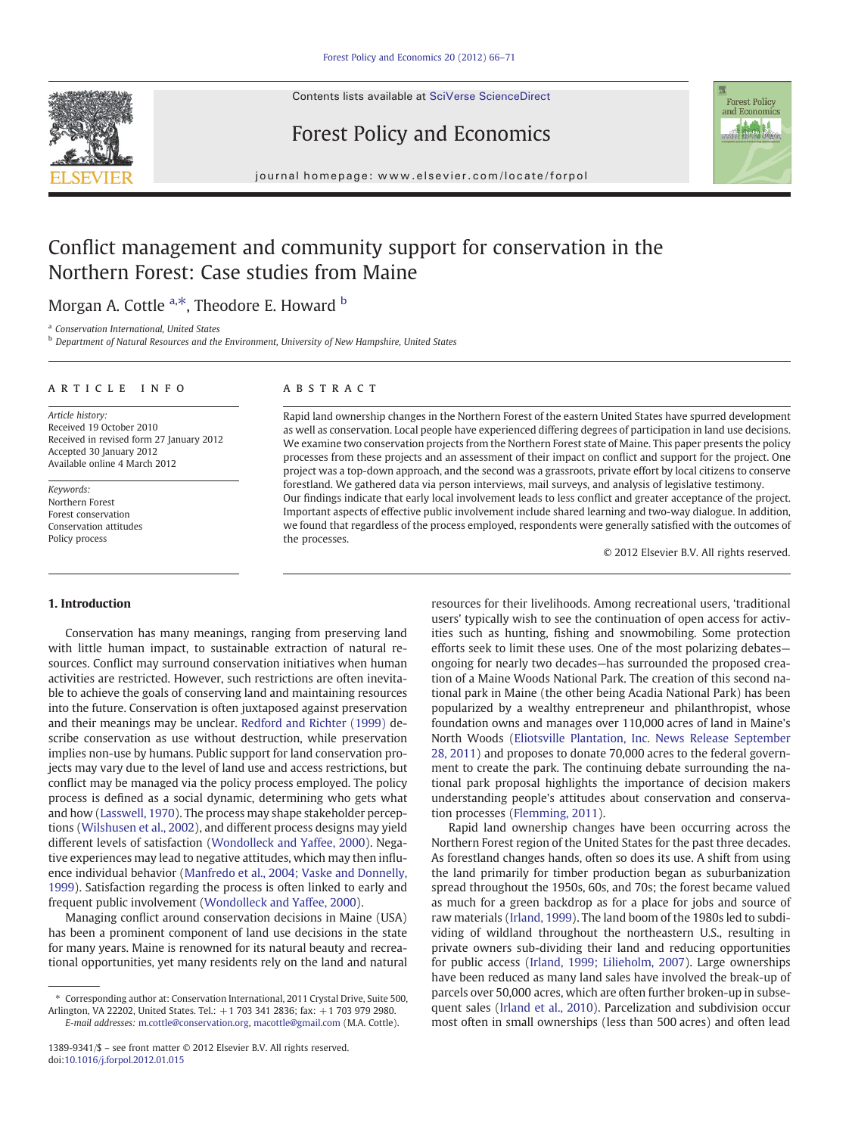Contents lists available at SciVerse ScienceDirect





Forest Policy and Economics

journal homepage: www.elsevier.com/locate/forpol

## Conflict management and community support for conservation in the Northern Forest: Case studies from Maine

Morgan A. Cottle <sup>a,\*</sup>, Theodore E. Howard <sup>b</sup>

a Conservation International, United States

b Department of Natural Resources and the Environment, University of New Hampshire, United States

#### ARTICLE INFO ABSTRACT

Article history: Received 19 October 2010 Received in revised form 27 January 2012 Accepted 30 January 2012 Available online 4 March 2012

Keywords: Northern Forest Forest conservation Conservation attitudes Policy process

Rapid land ownership changes in the Northern Forest of the eastern United States have spurred development as well as conservation. Local people have experienced differing degrees of participation in land use decisions. We examine two conservation projects from the Northern Forest state of Maine. This paper presents the policy processes from these projects and an assessment of their impact on conflict and support for the project. One project was a top-down approach, and the second was a grassroots, private effort by local citizens to conserve forestland. We gathered data via person interviews, mail surveys, and analysis of legislative testimony. Our findings indicate that early local involvement leads to less conflict and greater acceptance of the project. Important aspects of effective public involvement include shared learning and two-way dialogue. In addition, we found that regardless of the process employed, respondents were generally satisfied with the outcomes of the processes.

© 2012 Elsevier B.V. All rights reserved.

#### 1. Introduction

Conservation has many meanings, ranging from preserving land with little human impact, to sustainable extraction of natural resources. Conflict may surround conservation initiatives when human activities are restricted. However, such restrictions are often inevitable to achieve the goals of conserving land and maintaining resources into the future. Conservation is often juxtaposed against preservation and their meanings may be unclear. [Redford and Richter \(1999\)](#page--1-0) describe conservation as use without destruction, while preservation implies non-use by humans. Public support for land conservation projects may vary due to the level of land use and access restrictions, but conflict may be managed via the policy process employed. The policy process is defined as a social dynamic, determining who gets what and how [\(Lasswell, 1970](#page--1-0)). The process may shape stakeholder perceptions [\(Wilshusen et al., 2002\)](#page--1-0), and different process designs may yield different levels of satisfaction ([Wondolleck and Yaffee, 2000](#page--1-0)). Negative experiences may lead to negative attitudes, which may then influence individual behavior [\(Manfredo et al., 2004; Vaske and Donnelly,](#page--1-0) [1999\)](#page--1-0). Satisfaction regarding the process is often linked to early and frequent public involvement [\(Wondolleck and Yaffee, 2000](#page--1-0)).

Managing conflict around conservation decisions in Maine (USA) has been a prominent component of land use decisions in the state for many years. Maine is renowned for its natural beauty and recreational opportunities, yet many residents rely on the land and natural resources for their livelihoods. Among recreational users, 'traditional users' typically wish to see the continuation of open access for activities such as hunting, fishing and snowmobiling. Some protection efforts seek to limit these uses. One of the most polarizing debates ongoing for nearly two decades—has surrounded the proposed creation of a Maine Woods National Park. The creation of this second national park in Maine (the other being Acadia National Park) has been popularized by a wealthy entrepreneur and philanthropist, whose foundation owns and manages over 110,000 acres of land in Maine's North Woods ([Eliotsville Plantation, Inc. News Release September](#page--1-0) [28, 2011](#page--1-0)) and proposes to donate 70,000 acres to the federal government to create the park. The continuing debate surrounding the national park proposal highlights the importance of decision makers understanding people's attitudes about conservation and conservation processes [\(Flemming, 2011](#page--1-0)).

Rapid land ownership changes have been occurring across the Northern Forest region of the United States for the past three decades. As forestland changes hands, often so does its use. A shift from using the land primarily for timber production began as suburbanization spread throughout the 1950s, 60s, and 70s; the forest became valued as much for a green backdrop as for a place for jobs and source of raw materials ([Irland, 1999\)](#page--1-0). The land boom of the 1980s led to subdividing of wildland throughout the northeastern U.S., resulting in private owners sub-dividing their land and reducing opportunities for public access ([Irland, 1999; Lilieholm, 2007\)](#page--1-0). Large ownerships have been reduced as many land sales have involved the break-up of parcels over 50,000 acres, which are often further broken-up in subsequent sales ([Irland et al., 2010\)](#page--1-0). Parcelization and subdivision occur most often in small ownerships (less than 500 acres) and often lead

<sup>⁎</sup> Corresponding author at: Conservation International, 2011 Crystal Drive, Suite 500, Arlington, VA 22202, United States. Tel.: +1 703 341 2836; fax: +1 703 979 2980. E-mail addresses: [m.cottle@conservation.org,](mailto:m.cottle@conservation.org) [macottle@gmail.com](mailto:macottle@gmail.com) (M.A. Cottle).

<sup>1389-9341/\$</sup> – see front matter © 2012 Elsevier B.V. All rights reserved. doi[:10.1016/j.forpol.2012.01.015](http://dx.doi.org/10.1016/j.forpol.2012.01.015)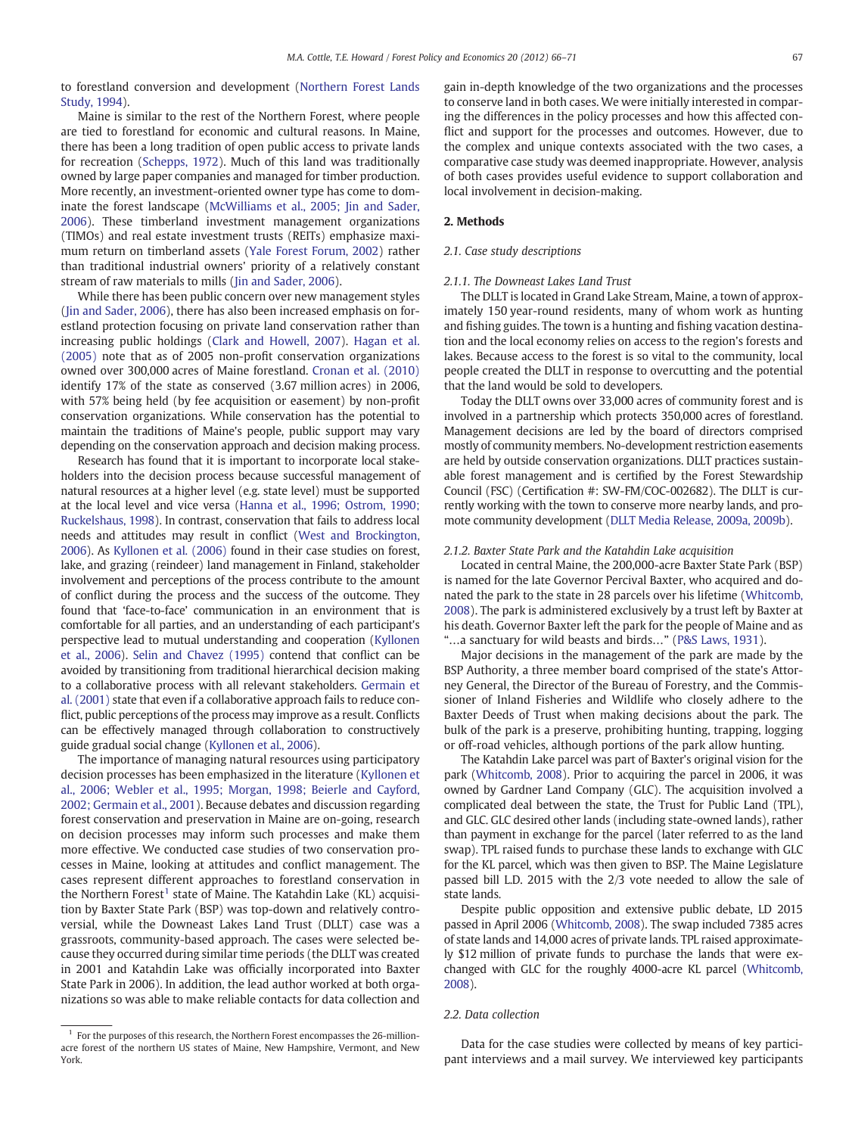to forestland conversion and development ([Northern Forest Lands](#page--1-0) [Study, 1994](#page--1-0)).

### Maine is similar to the rest of the Northern Forest, where people are tied to forestland for economic and cultural reasons. In Maine, there has been a long tradition of open public access to private lands for recreation ([Schepps, 1972\)](#page--1-0). Much of this land was traditionally owned by large paper companies and managed for timber production. More recently, an investment-oriented owner type has come to dom-inate the forest landscape [\(McWilliams et al., 2005; Jin and Sader,](#page--1-0) [2006\)](#page--1-0). These timberland investment management organizations (TIMOs) and real estate investment trusts (REITs) emphasize maximum return on timberland assets [\(Yale Forest Forum, 2002\)](#page--1-0) rather than traditional industrial owners' priority of a relatively constant stream of raw materials to mills [\(Jin and Sader, 2006\)](#page--1-0).

While there has been public concern over new management styles [\(Jin and Sader, 2006\)](#page--1-0), there has also been increased emphasis on forestland protection focusing on private land conservation rather than increasing public holdings [\(Clark and Howell, 2007](#page--1-0)). [Hagan et al.](#page--1-0) [\(2005\)](#page--1-0) note that as of 2005 non-profit conservation organizations owned over 300,000 acres of Maine forestland. [Cronan et al. \(2010\)](#page--1-0) identify 17% of the state as conserved (3.67 million acres) in 2006, with 57% being held (by fee acquisition or easement) by non-profit conservation organizations. While conservation has the potential to maintain the traditions of Maine's people, public support may vary depending on the conservation approach and decision making process.

Research has found that it is important to incorporate local stakeholders into the decision process because successful management of natural resources at a higher level (e.g. state level) must be supported at the local level and vice versa ([Hanna et al., 1996; Ostrom, 1990;](#page--1-0) [Ruckelshaus, 1998](#page--1-0)). In contrast, conservation that fails to address local needs and attitudes may result in conflict ([West and Brockington,](#page--1-0) [2006](#page--1-0)). As [Kyllonen et al. \(2006\)](#page--1-0) found in their case studies on forest, lake, and grazing (reindeer) land management in Finland, stakeholder involvement and perceptions of the process contribute to the amount of conflict during the process and the success of the outcome. They found that 'face-to-face' communication in an environment that is comfortable for all parties, and an understanding of each participant's perspective lead to mutual understanding and cooperation ([Kyllonen](#page--1-0) [et al., 2006](#page--1-0)). [Selin and Chavez \(1995\)](#page--1-0) contend that conflict can be avoided by transitioning from traditional hierarchical decision making to a collaborative process with all relevant stakeholders. [Germain et](#page--1-0) [al. \(2001\)](#page--1-0) state that even if a collaborative approach fails to reduce conflict, public perceptions of the process may improve as a result. Conflicts can be effectively managed through collaboration to constructively guide gradual social change [\(Kyllonen et al., 2006\)](#page--1-0).

The importance of managing natural resources using participatory decision processes has been emphasized in the literature [\(Kyllonen et](#page--1-0) [al., 2006; Webler et al., 1995; Morgan, 1998; Beierle and Cayford,](#page--1-0) [2002; Germain et al., 2001\)](#page--1-0). Because debates and discussion regarding forest conservation and preservation in Maine are on-going, research on decision processes may inform such processes and make them more effective. We conducted case studies of two conservation processes in Maine, looking at attitudes and conflict management. The cases represent different approaches to forestland conservation in the Northern Forest<sup>1</sup> state of Maine. The Katahdin Lake (KL) acquisition by Baxter State Park (BSP) was top-down and relatively controversial, while the Downeast Lakes Land Trust (DLLT) case was a grassroots, community-based approach. The cases were selected because they occurred during similar time periods (the DLLT was created in 2001 and Katahdin Lake was officially incorporated into Baxter State Park in 2006). In addition, the lead author worked at both organizations so was able to make reliable contacts for data collection and

 $1$  For the purposes of this research, the Northern Forest encompasses the 26-millionacre forest of the northern US states of Maine, New Hampshire, Vermont, and New York.

gain in-depth knowledge of the two organizations and the processes to conserve land in both cases. We were initially interested in comparing the differences in the policy processes and how this affected conflict and support for the processes and outcomes. However, due to the complex and unique contexts associated with the two cases, a comparative case study was deemed inappropriate. However, analysis of both cases provides useful evidence to support collaboration and local involvement in decision-making.

#### 2. Methods

#### 2.1. Case study descriptions

#### 2.1.1. The Downeast Lakes Land Trust

The DLLT is located in Grand Lake Stream, Maine, a town of approximately 150 year-round residents, many of whom work as hunting and fishing guides. The town is a hunting and fishing vacation destination and the local economy relies on access to the region's forests and lakes. Because access to the forest is so vital to the community, local people created the DLLT in response to overcutting and the potential that the land would be sold to developers.

Today the DLLT owns over 33,000 acres of community forest and is involved in a partnership which protects 350,000 acres of forestland. Management decisions are led by the board of directors comprised mostly of community members. No-development restriction easements are held by outside conservation organizations. DLLT practices sustainable forest management and is certified by the Forest Stewardship Council (FSC) (Certification #: SW-FM/COC-002682). The DLLT is currently working with the town to conserve more nearby lands, and promote community development ([DLLT Media Release, 2009a, 2009b](#page--1-0)).

#### 2.1.2. Baxter State Park and the Katahdin Lake acquisition

Located in central Maine, the 200,000-acre Baxter State Park (BSP) is named for the late Governor Percival Baxter, who acquired and donated the park to the state in 28 parcels over his lifetime [\(Whitcomb,](#page--1-0) [2008\)](#page--1-0). The park is administered exclusively by a trust left by Baxter at his death. Governor Baxter left the park for the people of Maine and as "…a sanctuary for wild beasts and birds…" ([P&S Laws, 1931\)](#page--1-0).

Major decisions in the management of the park are made by the BSP Authority, a three member board comprised of the state's Attorney General, the Director of the Bureau of Forestry, and the Commissioner of Inland Fisheries and Wildlife who closely adhere to the Baxter Deeds of Trust when making decisions about the park. The bulk of the park is a preserve, prohibiting hunting, trapping, logging or off-road vehicles, although portions of the park allow hunting.

The Katahdin Lake parcel was part of Baxter's original vision for the park [\(Whitcomb, 2008](#page--1-0)). Prior to acquiring the parcel in 2006, it was owned by Gardner Land Company (GLC). The acquisition involved a complicated deal between the state, the Trust for Public Land (TPL), and GLC. GLC desired other lands (including state-owned lands), rather than payment in exchange for the parcel (later referred to as the land swap). TPL raised funds to purchase these lands to exchange with GLC for the KL parcel, which was then given to BSP. The Maine Legislature passed bill L.D. 2015 with the 2/3 vote needed to allow the sale of state lands.

Despite public opposition and extensive public debate, LD 2015 passed in April 2006 ([Whitcomb, 2008\)](#page--1-0). The swap included 7385 acres of state lands and 14,000 acres of private lands. TPL raised approximately \$12 million of private funds to purchase the lands that were exchanged with GLC for the roughly 4000-acre KL parcel [\(Whitcomb,](#page--1-0) [2008](#page--1-0)).

#### 2.2. Data collection

Data for the case studies were collected by means of key participant interviews and a mail survey. We interviewed key participants